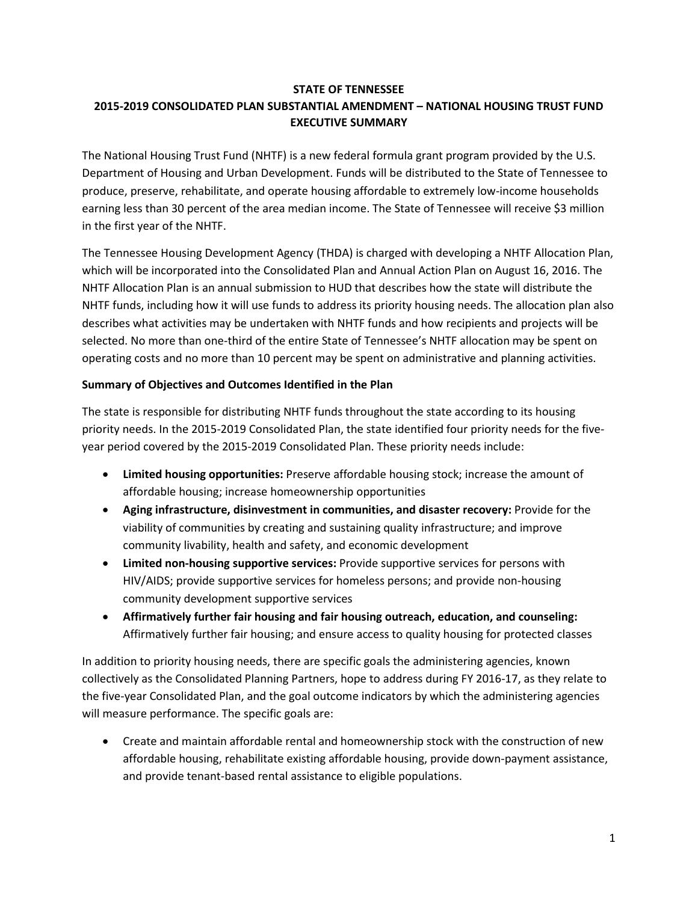## **STATE OF TENNESSEE 2015-2019 CONSOLIDATED PLAN SUBSTANTIAL AMENDMENT – NATIONAL HOUSING TRUST FUND EXECUTIVE SUMMARY**

The National Housing Trust Fund (NHTF) is a new federal formula grant program provided by the U.S. Department of Housing and Urban Development. Funds will be distributed to the State of Tennessee to produce, preserve, rehabilitate, and operate housing affordable to extremely low-income households earning less than 30 percent of the area median income. The State of Tennessee will receive \$3 million in the first year of the NHTF.

The Tennessee Housing Development Agency (THDA) is charged with developing a NHTF Allocation Plan, which will be incorporated into the Consolidated Plan and Annual Action Plan on August 16, 2016. The NHTF Allocation Plan is an annual submission to HUD that describes how the state will distribute the NHTF funds, including how it will use funds to address its priority housing needs. The allocation plan also describes what activities may be undertaken with NHTF funds and how recipients and projects will be selected. No more than one-third of the entire State of Tennessee's NHTF allocation may be spent on operating costs and no more than 10 percent may be spent on administrative and planning activities.

### **Summary of Objectives and Outcomes Identified in the Plan**

The state is responsible for distributing NHTF funds throughout the state according to its housing priority needs. In the 2015-2019 Consolidated Plan, the state identified four priority needs for the fiveyear period covered by the 2015-2019 Consolidated Plan. These priority needs include:

- **Limited housing opportunities:** Preserve affordable housing stock; increase the amount of affordable housing; increase homeownership opportunities
- **Aging infrastructure, disinvestment in communities, and disaster recovery:** Provide for the viability of communities by creating and sustaining quality infrastructure; and improve community livability, health and safety, and economic development
- **Limited non-housing supportive services:** Provide supportive services for persons with HIV/AIDS; provide supportive services for homeless persons; and provide non-housing community development supportive services
- **Affirmatively further fair housing and fair housing outreach, education, and counseling:** Affirmatively further fair housing; and ensure access to quality housing for protected classes

In addition to priority housing needs, there are specific goals the administering agencies, known collectively as the Consolidated Planning Partners, hope to address during FY 2016-17, as they relate to the five-year Consolidated Plan, and the goal outcome indicators by which the administering agencies will measure performance. The specific goals are:

• Create and maintain affordable rental and homeownership stock with the construction of new affordable housing, rehabilitate existing affordable housing, provide down-payment assistance, and provide tenant-based rental assistance to eligible populations.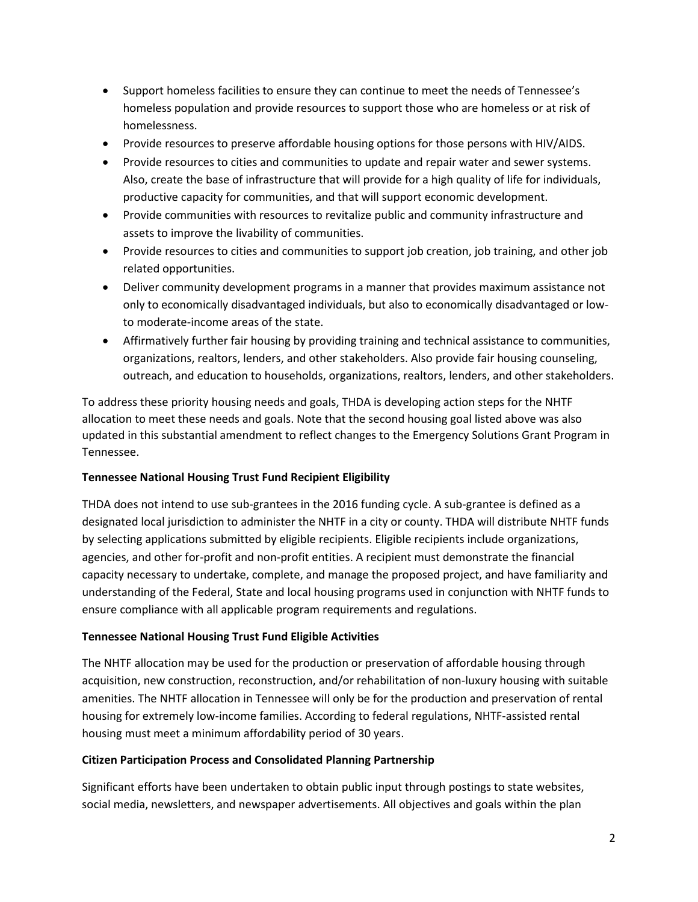- Support homeless facilities to ensure they can continue to meet the needs of Tennessee's homeless population and provide resources to support those who are homeless or at risk of homelessness.
- Provide resources to preserve affordable housing options for those persons with HIV/AIDS.
- Provide resources to cities and communities to update and repair water and sewer systems. Also, create the base of infrastructure that will provide for a high quality of life for individuals, productive capacity for communities, and that will support economic development.
- Provide communities with resources to revitalize public and community infrastructure and assets to improve the livability of communities.
- Provide resources to cities and communities to support job creation, job training, and other job related opportunities.
- Deliver community development programs in a manner that provides maximum assistance not only to economically disadvantaged individuals, but also to economically disadvantaged or lowto moderate-income areas of the state.
- Affirmatively further fair housing by providing training and technical assistance to communities, organizations, realtors, lenders, and other stakeholders. Also provide fair housing counseling, outreach, and education to households, organizations, realtors, lenders, and other stakeholders.

To address these priority housing needs and goals, THDA is developing action steps for the NHTF allocation to meet these needs and goals. Note that the second housing goal listed above was also updated in this substantial amendment to reflect changes to the Emergency Solutions Grant Program in Tennessee.

# **Tennessee National Housing Trust Fund Recipient Eligibility**

THDA does not intend to use sub-grantees in the 2016 funding cycle. A sub-grantee is defined as a designated local jurisdiction to administer the NHTF in a city or county. THDA will distribute NHTF funds by selecting applications submitted by eligible recipients. Eligible recipients include organizations, agencies, and other for-profit and non-profit entities. A recipient must demonstrate the financial capacity necessary to undertake, complete, and manage the proposed project, and have familiarity and understanding of the Federal, State and local housing programs used in conjunction with NHTF funds to ensure compliance with all applicable program requirements and regulations.

# **Tennessee National Housing Trust Fund Eligible Activities**

The NHTF allocation may be used for the production or preservation of affordable housing through acquisition, new construction, reconstruction, and/or rehabilitation of non-luxury housing with suitable amenities. The NHTF allocation in Tennessee will only be for the production and preservation of rental housing for extremely low-income families. According to federal regulations, NHTF-assisted rental housing must meet a minimum affordability period of 30 years.

### **Citizen Participation Process and Consolidated Planning Partnership**

Significant efforts have been undertaken to obtain public input through postings to state websites, social media, newsletters, and newspaper advertisements. All objectives and goals within the plan